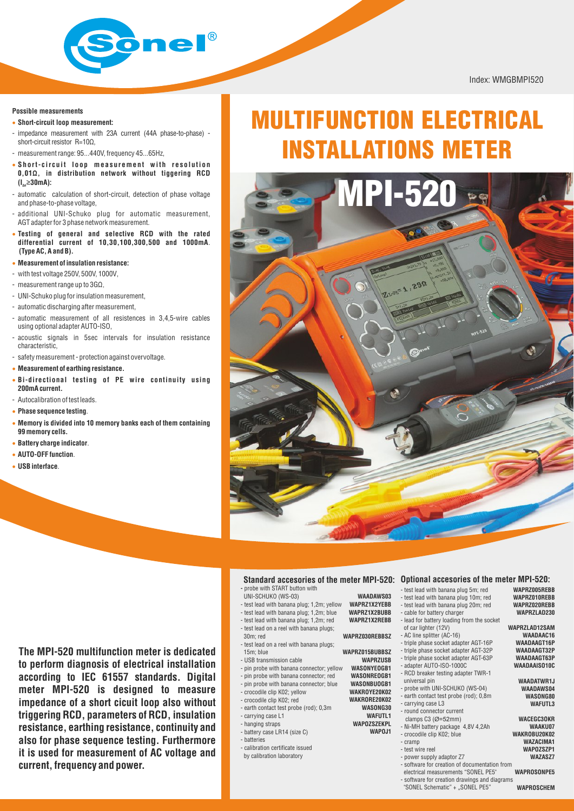

Index: WMGBMPI520

#### **Possible measurements**

- · **Short-circuit loop measurement:**
- impedance measurement with 23A current (44A phase-to-phase) short-circuit resistor R=100
- measurement range: 95...440V, frequency 45...65Hz,
- Short-circuit loop measurement with resolution **0,01Ω, in distribution network without tiggering RCD (I** ≥**30mA): <sup>Δ</sup><sup>n</sup>**
- automatic calculation of short-circuit, detection of phase voltage and phase-to-phase voltage,
- additional UNI-Schuko plug for automatic measurement, AGT adapter for 3 phase network measurement.
- **Testing of general and selective RCD with the rated** · **differential current of 10,30,100,300,500 and 1000mA**. **(Type AC, A and B).**
- **Measurement of insulation resistance:** ·
- with test voltage 250V, 500V, 1000V,
- measurement range up to 3GΩ,
- UNI-Schuko plug for insulation measurement,
- automatic discharging after measurement,
- automatic measurement of all resistences in 3,4,5-wire cables using optional adapter AUTO-ISO,
- acoustic signals in 5sec intervals for insulation resistance characteristic,
- safety measurement protection against overvoltage.
- · **Measurement of earthing resistance.**
- **Bi-directional testing of PE wire continuity using** · **200mA current.**
- Autocalibration of test leads.
- **Phase sequence testing**. ·
- **Memory is divided into 10 memory banks each of them containing** · **99 memory cells.**
- **Battery charge indicator**. ·
- **AUTO-OFF function**. ·
- **USB interface**. ·

# MULTIFUNCTION ELECTRICAL ELECTRICAL INSTALLATIONS METER



**WAADAWS03 WAPRZ1X2YEBB WAPRZ1X2BUBB WAPRZ1X2REBB**

**WAPRZ015BUBBSZ WAPRZUSB WASONYEOGB1 WASONREOGB1 WASONBUOGB1 WAKROYE20K02 WAKRORE20K02 WASONG30 WAFUTL1 WAPOZSZEKPL WAPOJ1**

#### **-** probe with START button with

- UNI-SCHUKO (WS-03)
- test lead with banana plug; 1,2m; yellow
- test lead with banana plug; 1,2m; blue
- test lead with banana plug; 1,2m; red
- test lead on a reel with banana plugs;
- 30m; red
- test lead on a reel with banana plugs; 15m; blue
- pin probe with banana connector; yellow
- 
- 
- 
- earth contact test probe (rod); 0,3m
- carrying case L1
- 
- 
- calibration certificate issued
- by calibration laboratory

#### **Standard accesories of the meter MPI-520: Optional accesories of the meter MPI-520: WAPRZ005REBB**

- test lead with banana plug 5m; red
- test lead with banana plug 10m; red - test lead with banana plug 20m; red
- cable for battery charger
- lead for battery loading from the socket
- **WAPRZ030REBBSZ** of car lighter (12V)
	- AC line splitter (AC-16) - triple phase socket adapter AGT-16P
	- triple phase socket adapter AGT-32P
	- triple phase socket adapter AGT-63P
	- adapter AUTO-ISO-1000C
	- RCD breaker testing adapter TWR-1
	- universal pin
	- probe with UNI-SCHUKO (WS-04)
	- earth contact test probe (rod); 0,8m - carrying case L3
	- round connector current
	- clamps C3 (Ø=52mm)
	- Ni-MH battery package 4,8V 4,2Ah
	- crocodile clip K02; blue
	- cramp - test wire reel
	- power supply adaptor Z7
	- software for creation of documentation from -
	- electrical measurements "SONEL PE5"
	- software for creation drawings and diagrams -

"SONEL Schematic" + "SONEL PE5"

**WAPROSONPE5 WAPROSCHEM**

**WAPRZ010REBB WAPRZ020REBB WAPRZLAD230 WAPRZLAD12SAM WAADAAC16 WAADAAGT16P WAADAAGT32P WAADAAGT63P WAADAAISO10C WAADATWR1J WAADAWS04 WASONG80 WAFUTL3 WACEGC3OKR WAAKU07 WAKROBU20K02 WAZACIMA1 WAPOZSZP1 WAZASZ7**

- **to perform diagnosis of electrical installation**
- **according to IEC 61557 standards. Digital meter MPI-520 is designed to measure impedance of a short cicuit loop also without triggering RCD, parameters of RCD, insulation resistance, earthing resistance, continuity and also for phase sequence testing. Furthermore it is used for measurement of AC voltage and current, frequency and power.**
- USB transmission cable - pin probe with banana connector; red - pin probe with banana connector; blue - crocodile clip K02; yellow **The MPI-520 multifunction meter is dedicated** 
	- crocodile clip K02; red
	-
	-
	- hanging straps
	- battery case LR14 (size C)
	- batteries